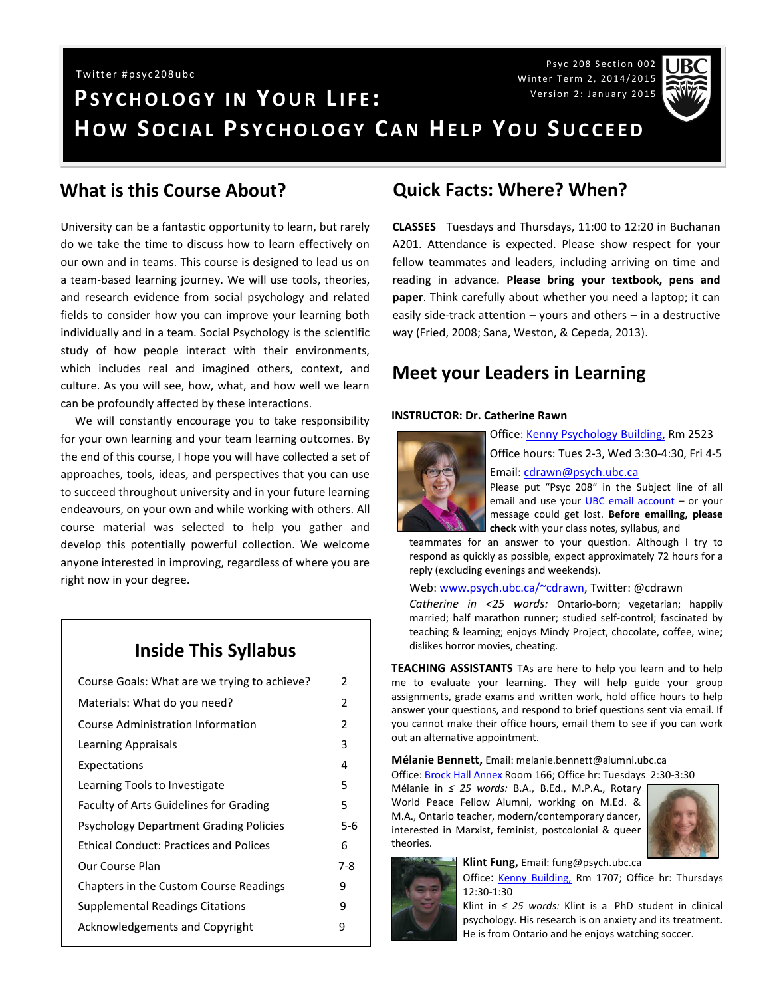Psyc 208 Section 002 Winter Term 2, 2014/2015 Version 2: January 2015



# **PS Y C H O L O G Y I N YO U R L I F E : HOW SOCIAL PSYCHOLOGY CAN HELP YOU SUCCEED** Twitter #psyc208ubc

#### **What is this Course About?**

University can be a fantastic opportunity to learn, but rarely do we take the time to discuss how to learn effectively on our own and in teams. This course is designed to lead us on a team-based learning journey. We will use tools, theories, and research evidence from social psychology and related fields to consider how you can improve your learning both individually and in a team. Social Psychology is the scientific study of how people interact with their environments, which includes real and imagined others, context, and culture. As you will see, how, what, and how well we learn can be profoundly affected by these interactions.

 We will constantly encourage you to take responsibility for your own learning and your team learning outcomes. By the end of this course, I hope you will have collected a set of approaches, tools, ideas, and perspectives that you can use to succeed throughout university and in your future learning endeavours, on your own and while working with others. All course material was selected to help you gather and develop this potentially powerful collection. We welcome anyone interested in improving, regardless of where you are right now in your degree.

#### **Inside This Syllabus**

| Course Goals: What are we trying to achieve?  | 2       |
|-----------------------------------------------|---------|
| Materials: What do you need?                  | 2       |
| Course Administration Information             | 2       |
| Learning Appraisals                           | 3       |
| Expectations                                  | 4       |
| Learning Tools to Investigate                 | 5       |
| <b>Faculty of Arts Guidelines for Grading</b> | 5       |
| <b>Psychology Department Grading Policies</b> | $5 - 6$ |
| <b>Ethical Conduct: Practices and Polices</b> | 6       |
| Our Course Plan                               | 7-8     |
| Chapters in the Custom Course Readings        | 9       |
| <b>Supplemental Readings Citations</b>        | q       |
| <b>Acknowledgements and Copyright</b>         | 9       |
|                                               |         |

#### **Quick Facts: Where? When?**

**CLASSES** Tuesdays and Thursdays, 11:00 to 12:20 in Buchanan A201. Attendance is expected. Please show respect for your fellow teammates and leaders, including arriving on time and reading in advance. **Please bring your textbook, pens and paper**. Think carefully about whether you need a laptop; it can easily side-track attention – yours and others – in a destructive way (Fried, 2008; Sana, Weston, & Cepeda, 2013).

#### **Meet your Leaders in Learning**

#### **INSTRUCTOR: Dr. Catherine Rawn**



Office: [Kenny Psychology](http://www.maps.ubc.ca/PROD/index_detail.php?locat1=732) Building, Rm 2523

Office hours: Tues 2-3, Wed 3:30-4:30, Fri 4-5 Email: [cdrawn@psych.ubc.ca](mailto:cdrawn@psych.ubc.ca)

Please put "Psyc 208" in the Subject line of all email and use your [UBC email account](http://it.ubc.ca/services/email-voice-internet/student-alumni-email-service) – or your message could get lost. **Before emailing, please check** with your class notes, syllabus, and

teammates for an answer to your question. Although I try to respond as quickly as possible, expect approximately 72 hours for a reply (excluding evenings and weekends).

Web: [www.psych.ubc.ca/~cdrawn,](http://www.psych.ubc.ca/~cdrawn) Twitter: @cdrawn

*Catherine in <25 words:* Ontario-born; vegetarian; happily married; half marathon runner; studied self-control; fascinated by teaching & learning; enjoys Mindy Project, chocolate, coffee, wine; dislikes horror movies, cheating.

**TEACHING ASSISTANTS** TAs are here to help you learn and to help me to evaluate your learning. They will help guide your group assignments, grade exams and written work, hold office hours to help answer your questions, and respond to brief questions sent via email. If you cannot make their office hours, email them to see if you can work out an alternative appointment.

**Mélanie Bennett,** Email: melanie.bennett@alumni.ubc.ca Office: [Brock Hall Annex](http://www.maps.ubc.ca/PROD/index_detail.php?locat1=113) Room 166; Office hr: Tuesdays 2:30-3:30

Mélanie in *≤ 25 words:* B.A., B.Ed., M.P.A., Rotary World Peace Fellow Alumni, working on M.Ed. & M.A., Ontario teacher, modern/contemporary dancer, interested in Marxist, feminist, postcolonial & queer theories.



**Klint Fung,** Email: fung@psych.ubc.ca



Office: [Kenny Building,](http://www.maps.ubc.ca/PROD/index_detail.php?locat1=732) Rm 1707; Office hr: Thursdays 12:30-1:30

Klint in *≤ 25 words:* Klint is a PhD student in clinical psychology. His research is on anxiety and its treatment. He is from Ontario and he enjoys watching soccer.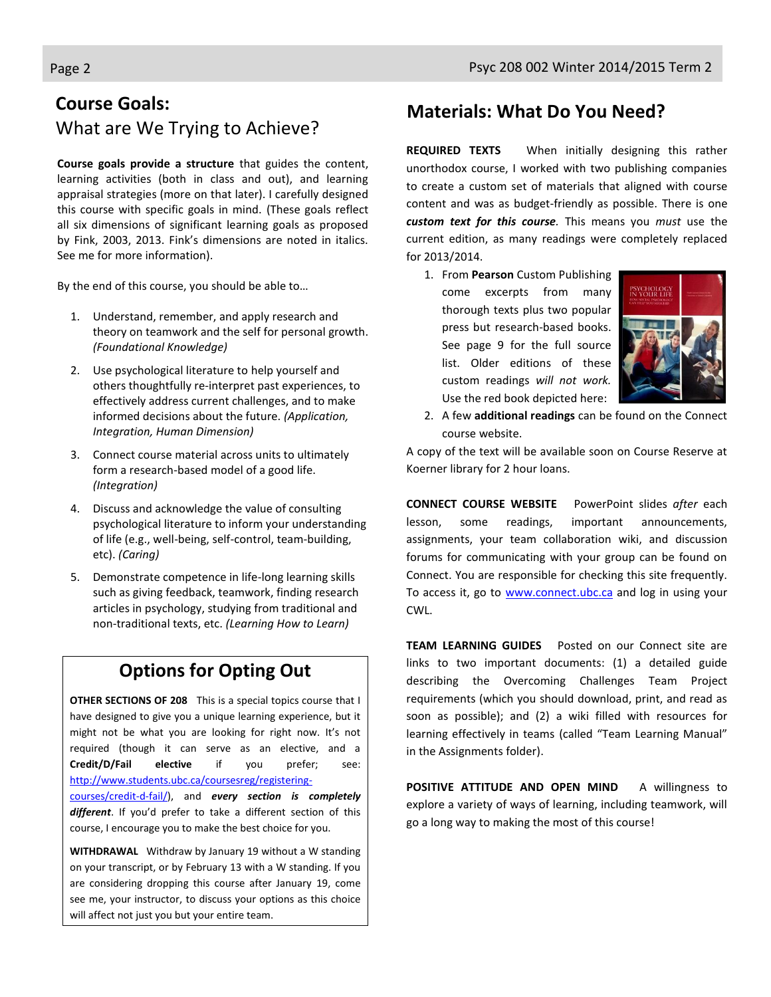# **Course Goals:** What are We Trying to Achieve?

**Course goals provide a structure** that guides the content, learning activities (both in class and out), and learning appraisal strategies (more on that later). I carefully designed this course with specific goals in mind. (These goals reflect all six dimensions of significant learning goals as proposed by Fink, 2003, 2013. Fink's dimensions are noted in italics. See me for more information).

By the end of this course, you should be able to…

- 1. Understand, remember, and apply research and theory on teamwork and the self for personal growth. *(Foundational Knowledge)*
- 2. Use psychological literature to help yourself and others thoughtfully re-interpret past experiences, to effectively address current challenges, and to make informed decisions about the future. *(Application, Integration, Human Dimension)*
- 3. Connect course material across units to ultimately form a research-based model of a good life. *(Integration)*
- 4. Discuss and acknowledge the value of consulting psychological literature to inform your understanding of life (e.g., well-being, self-control, team-building, etc). *(Caring)*
- 5. Demonstrate competence in life-long learning skills such as giving feedback, teamwork, finding research articles in psychology, studying from traditional and non-traditional texts, etc. *(Learning How to Learn)*

# **Options for Opting Out**

**OTHER SECTIONS OF 208** This is a special topics course that I have designed to give you a unique learning experience, but it might not be what you are looking for right now. It's not required (though it can serve as an elective, and a **Credit/D/Fail elective** if you prefer; see: [http://www.students.ubc.ca/coursesreg/registering](http://www.students.ubc.ca/coursesreg/registering-courses/credit-d-fail/)[courses/credit-d-fail/\)](http://www.students.ubc.ca/coursesreg/registering-courses/credit-d-fail/), and *every section is completely different*. If you'd prefer to take a different section of this course, I encourage you to make the best choice for you.

**WITHDRAWAL** Withdraw by January 19 without a W standing on your transcript, or by February 13 with a W standing. If you are considering dropping this course after January 19, come see me, your instructor, to discuss your options as this choice will affect not just you but your entire team.

### **Materials: What Do You Need?**

**REQUIRED TEXTS** When initially designing this rather unorthodox course, I worked with two publishing companies to create a custom set of materials that aligned with course content and was as budget-friendly as possible. There is one *custom text for this course.* This means you *must* use the current edition, as many readings were completely replaced for 2013/2014.

1. From **Pearson** Custom Publishing come excerpts from many thorough texts plus two popular press but research-based books. See page 9 for the full source list. Older editions of these custom readings *will not work.* Use the red book depicted here:



2. A few **additional readings** can be found on the Connect course website.

A copy of the text will be available soon on Course Reserve at Koerner library for 2 hour loans.

**CONNECT COURSE WEBSITE** PowerPoint slides *after* each lesson, some readings, important announcements, assignments, your team collaboration wiki, and discussion forums for communicating with your group can be found on Connect. You are responsible for checking this site frequently. To access it, go to [www.connect.ubc.ca](http://www.vista.ubc.ca/) and log in using your CWL.

**TEAM LEARNING GUIDES** Posted on our Connect site are links to two important documents: (1) a detailed guide describing the Overcoming Challenges Team Project requirements (which you should download, print, and read as soon as possible); and (2) a wiki filled with resources for learning effectively in teams (called "Team Learning Manual" in the Assignments folder).

POSITIVE ATTITUDE AND OPEN MIND A willingness to explore a variety of ways of learning, including teamwork, will go a long way to making the most of this course!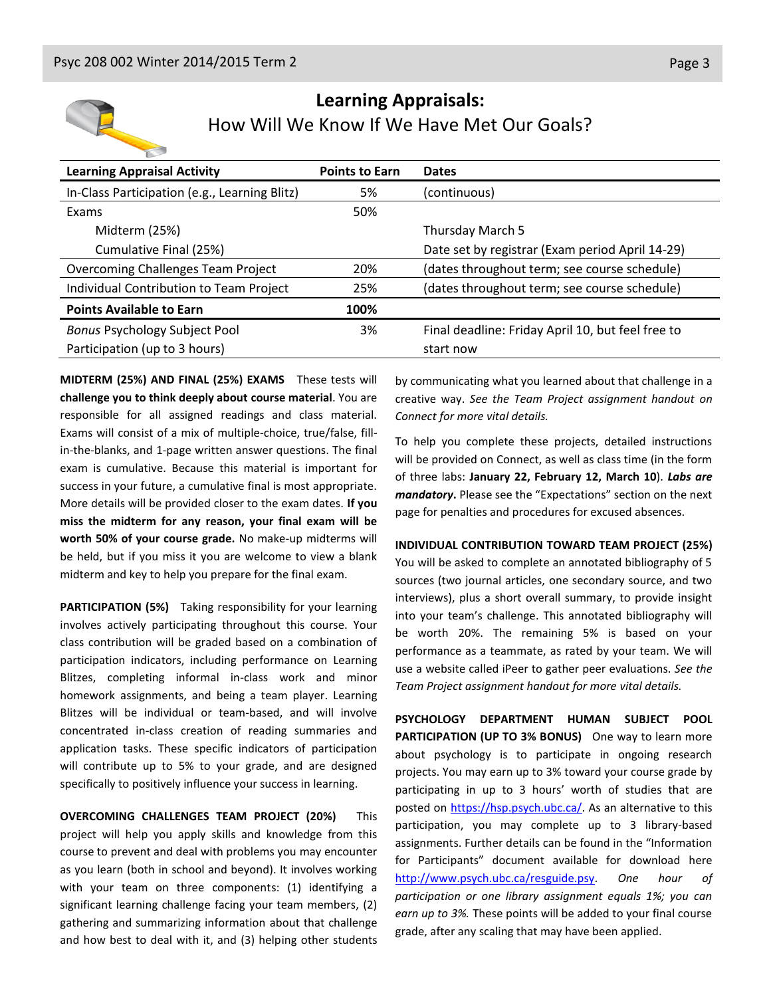

#### **Learning Appraisals:** How Will We Know If We Have Met Our Goals?

| <b>Learning Appraisal Activity</b>            | <b>Points to Earn</b> | <b>Dates</b>                                      |
|-----------------------------------------------|-----------------------|---------------------------------------------------|
| In-Class Participation (e.g., Learning Blitz) | 5%                    | (continuous)                                      |
| Exams                                         | 50%                   |                                                   |
| Midterm (25%)                                 |                       | Thursday March 5                                  |
| Cumulative Final (25%)                        |                       | Date set by registrar (Exam period April 14-29)   |
| <b>Overcoming Challenges Team Project</b>     | 20%                   | (dates throughout term; see course schedule)      |
| Individual Contribution to Team Project       | 25%                   | (dates throughout term; see course schedule)      |
| <b>Points Available to Earn</b>               | 100%                  |                                                   |
| <b>Bonus Psychology Subject Pool</b>          | 3%                    | Final deadline: Friday April 10, but feel free to |
| Participation (up to 3 hours)                 |                       | start now                                         |

**MIDTERM (25%) AND FINAL (25%) EXAMS** These tests will **challenge you to think deeply about course material**. You are responsible for all assigned readings and class material. Exams will consist of a mix of multiple-choice, true/false, fillin-the-blanks, and 1-page written answer questions. The final exam is cumulative. Because this material is important for success in your future, a cumulative final is most appropriate. More details will be provided closer to the exam dates. **If you miss the midterm for any reason, your final exam will be worth 50% of your course grade.** No make-up midterms will be held, but if you miss it you are welcome to view a blank midterm and key to help you prepare for the final exam.

**PARTICIPATION (5%)** Taking responsibility for your learning involves actively participating throughout this course. Your class contribution will be graded based on a combination of participation indicators, including performance on Learning Blitzes, completing informal in-class work and minor homework assignments, and being a team player. Learning Blitzes will be individual or team-based, and will involve concentrated in-class creation of reading summaries and application tasks. These specific indicators of participation will contribute up to 5% to your grade, and are designed specifically to positively influence your success in learning.

**OVERCOMING CHALLENGES TEAM PROJECT (20%)** This project will help you apply skills and knowledge from this course to prevent and deal with problems you may encounter as you learn (both in school and beyond). It involves working with your team on three components: (1) identifying a significant learning challenge facing your team members, (2) gathering and summarizing information about that challenge and how best to deal with it, and (3) helping other students

by communicating what you learned about that challenge in a creative way. *See the Team Project assignment handout on Connect for more vital details.*

To help you complete these projects, detailed instructions will be provided on Connect, as well as class time (in the form of three labs: **January 22, February 12, March 10**). *Labs are mandatory***.** Please see the "Expectations" section on the next page for penalties and procedures for excused absences.

#### **INDIVIDUAL CONTRIBUTION TOWARD TEAM PROJECT (25%)**

You will be asked to complete an annotated bibliography of 5 sources (two journal articles, one secondary source, and two interviews), plus a short overall summary, to provide insight into your team's challenge. This annotated bibliography will be worth 20%. The remaining 5% is based on your performance as a teammate, as rated by your team. We will use a website called iPeer to gather peer evaluations. *See the Team Project assignment handout for more vital details.*

**PSYCHOLOGY DEPARTMENT HUMAN SUBJECT POOL PARTICIPATION (UP TO 3% BONUS)** One way to learn more about psychology is to participate in ongoing research projects. You may earn up to 3% toward your course grade by participating in up to 3 hours' worth of studies that are posted on [https://hsp.psych.ubc.ca/.](https://hsp.psych.ubc.ca/) As an alternative to this participation, you may complete up to 3 library-based assignments. Further details can be found in the "Information for Participants" document available for download here [http://www.psych.ubc.ca/resguide.psy.](http://www.psych.ubc.ca/resguide.psy) *One hour of participation or one library assignment equals 1%; you can earn up to 3%.* These points will be added to your final course grade, after any scaling that may have been applied.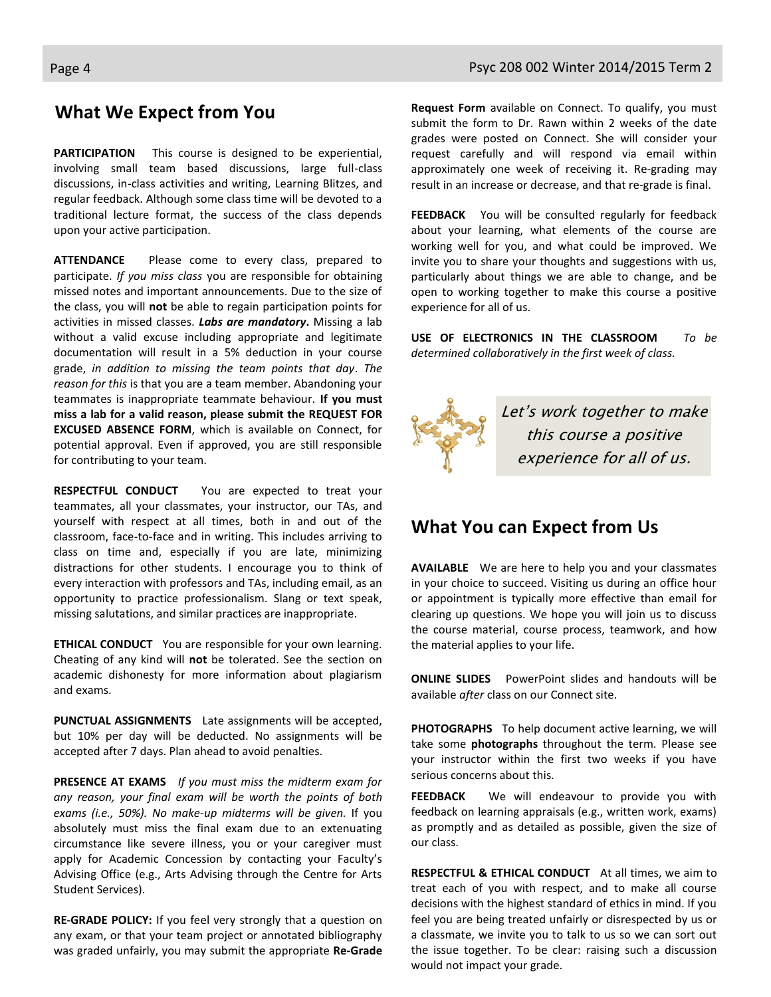#### **What We Expect from You**

**PARTICIPATION** This course is designed to be experiential, involving small team based discussions, large full-class discussions, in-class activities and writing, Learning Blitzes, and regular feedback. Although some class time will be devoted to a traditional lecture format, the success of the class depends upon your active participation.

**ATTENDANCE** Please come to every class, prepared to participate. *If you miss class* you are responsible for obtaining missed notes and important announcements. Due to the size of the class, you will **not** be able to regain participation points for activities in missed classes. *Labs are mandatory***.** Missing a lab without a valid excuse including appropriate and legitimate documentation will result in a 5% deduction in your course grade, *in addition to missing the team points that day*. *The reason for this* is that you are a team member. Abandoning your teammates is inappropriate teammate behaviour. **If you must miss a lab for a valid reason, please submit the REQUEST FOR EXCUSED ABSENCE FORM**, which is available on Connect, for potential approval. Even if approved, you are still responsible for contributing to your team.

**RESPECTFUL CONDUCT** You are expected to treat your teammates, all your classmates, your instructor, our TAs, and yourself with respect at all times, both in and out of the classroom, face-to-face and in writing. This includes arriving to class on time and, especially if you are late, minimizing distractions for other students. I encourage you to think of every interaction with professors and TAs, including email, as an opportunity to practice professionalism. Slang or text speak, missing salutations, and similar practices are inappropriate.

**ETHICAL CONDUCT** You are responsible for your own learning. Cheating of any kind will **not** be tolerated. See the section on academic dishonesty for more information about plagiarism and exams.

**PUNCTUAL ASSIGNMENTS** Late assignments will be accepted, but 10% per day will be deducted. No assignments will be accepted after 7 days. Plan ahead to avoid penalties.

**PRESENCE AT EXAMS** *If you must miss the midterm exam for any reason, your final exam will be worth the points of both exams (i.e., 50%). No make-up midterms will be given.* If you absolutely must miss the final exam due to an extenuating circumstance like severe illness, you or your caregiver must apply for Academic Concession by contacting your Faculty's Advising Office (e.g., Arts Advising through the Centre for Arts Student Services).

**RE-GRADE POLICY:** If you feel very strongly that a question on any exam, or that your team project or annotated bibliography was graded unfairly, you may submit the appropriate **Re-Grade** 

**Request Form** available on Connect. To qualify, you must submit the form to Dr. Rawn within 2 weeks of the date grades were posted on Connect. She will consider your request carefully and will respond via email within approximately one week of receiving it. Re-grading may result in an increase or decrease, and that re-grade is final.

**FEEDBACK** You will be consulted regularly for feedback about your learning, what elements of the course are working well for you, and what could be improved. We invite you to share your thoughts and suggestions with us, particularly about things we are able to change, and be open to working together to make this course a positive experience for all of us.

**USE OF ELECTRONICS IN THE CLASSROOM** *To be determined collaboratively in the first week of class.*



#### **What You can Expect from Us**

**AVAILABLE** We are here to help you and your classmates in your choice to succeed. Visiting us during an office hour or appointment is typically more effective than email for clearing up questions. We hope you will join us to discuss the course material, course process, teamwork, and how the material applies to your life.

**ONLINE SLIDES** PowerPoint slides and handouts will be available *after* class on our Connect site.

**PHOTOGRAPHS** To help document active learning, we will take some **photographs** throughout the term. Please see your instructor within the first two weeks if you have serious concerns about this.

**FEEDBACK** We will endeavour to provide you with feedback on learning appraisals (e.g., written work, exams) as promptly and as detailed as possible, given the size of our class.

**RESPECTFUL & ETHICAL CONDUCT** At all times, we aim to treat each of you with respect, and to make all course decisions with the highest standard of ethics in mind. If you feel you are being treated unfairly or disrespected by us or a classmate, we invite you to talk to us so we can sort out the issue together. To be clear: raising such a discussion would not impact your grade.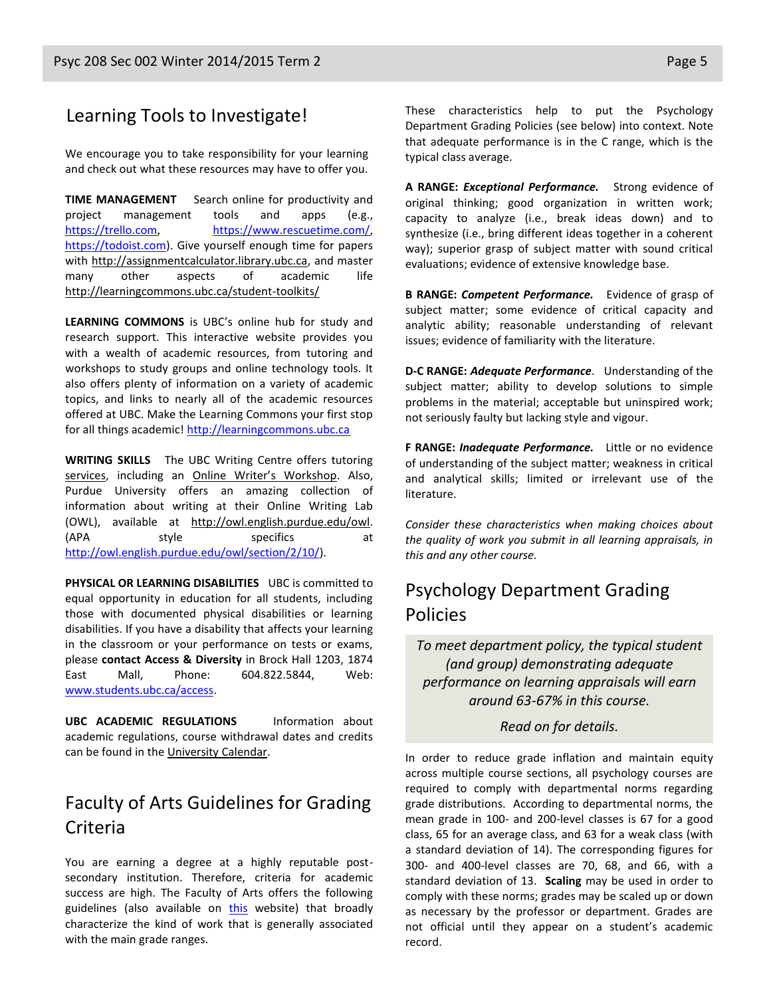#### Learning Tools to Investigate!

We encourage you to take responsibility for your learning and check out what these resources may have to offer you.

**TIME MANAGEMENT** Search online for productivity and project management tools and apps (e.g., [https://trello.com,](https://trello.com/) [https://www.rescuetime.com/,](https://www.rescuetime.com/) [https://todoist.com\)](https://todoist.com/). Give yourself enough time for papers with [http://assignmentcalculator.library.ubc.ca,](http://assignmentcalculator.library.ubc.ca/) and master many other aspects of academic life <http://learningcommons.ubc.ca/student-toolkits/>

**LEARNING COMMONS** is UBC's online hub for study and research support. This interactive website provides you with a wealth of academic resources, from tutoring and workshops to study groups and online technology tools. It also offers plenty of information on a variety of academic topics, and links to nearly all of the academic resources offered at UBC. Make the Learning Commons your first stop for all things academic[! http://learningcommons.ubc.ca](http://learningcommons.ubc.ca/)

**WRITING SKILLS** The UBC Writing Centre offers tutoring [services,](http://cstudies.ubc.ca/writing/resources.html) including an [Online Writer's Workshop](http://www.writingcentre.ubc.ca/workshop/index.html). Also, Purdue University offers an amazing collection of information about writing at their Online Writing Lab (OWL), available at [http://owl.english.purdue.edu/owl.](http://owl.english.purdue.edu/owl/) (APA style specifics at [http://owl.english.purdue.edu/owl/section/2/10/\)](http://owl.english.purdue.edu/owl/section/2/10/).

**PHYSICAL OR LEARNING DISABILITIES** UBC is committed to equal opportunity in education for all students, including those with documented physical disabilities or learning disabilities. If you have a disability that affects your learning in the classroom or your performance on tests or exams, please **contact Access & Diversity** in Brock Hall 1203, 1874 East Mall, Phone: 604.822.5844, Web: [www.students.ubc.ca/access.](http://www.students.ubc.ca/access)

**UBC ACADEMIC REGULATIONS** Information about academic regulations, course withdrawal dates and credits can be found in the [University Calendar.](http://students.ubc.ca/calendar/academicyear.cfm)

## Faculty of Arts Guidelines for Grading Criteria

You are earning a degree at a highly reputable postsecondary institution. Therefore, criteria for academic success are high. The Faculty of Arts offers the following guidelines (also available on [this](http://legacy.arts.ubc.ca/faculty-amp-staff/resources/courses-and-grading/grading-guidelines.html) website) that broadly characterize the kind of work that is generally associated with the main grade ranges.

These characteristics help to put the Psychology Department Grading Policies (see below) into context. Note that adequate performance is in the C range, which is the typical class average.

**A RANGE:** *Exceptional Performance.* Strong evidence of original thinking; good organization in written work; capacity to analyze (i.e., break ideas down) and to synthesize (i.e., bring different ideas together in a coherent way); superior grasp of subject matter with sound critical evaluations; evidence of extensive knowledge base.

**B RANGE:** *Competent Performance.* Evidence of grasp of subject matter; some evidence of critical capacity and analytic ability; reasonable understanding of relevant issues; evidence of familiarity with the literature.

**D-C RANGE:** *Adequate Performance*. Understanding of the subject matter; ability to develop solutions to simple problems in the material; acceptable but uninspired work; not seriously faulty but lacking style and vigour.

**F RANGE:** *Inadequate Performance.* Little or no evidence of understanding of the subject matter; weakness in critical and analytical skills; limited or irrelevant use of the literature.

*Consider these characteristics when making choices about the quality of work you submit in all learning appraisals, in this and any other course.*

## Psychology Department Grading Policies

*To meet department policy, the typical student (and group) demonstrating adequate performance on learning appraisals will earn around 63-67% in this course.* 

*Read on for details.*

In order to reduce grade inflation and maintain equity across multiple course sections, all psychology courses are required to comply with departmental norms regarding grade distributions. According to departmental norms, the mean grade in 100- and 200-level classes is 67 for a good class, 65 for an average class, and 63 for a weak class (with a standard deviation of 14). The corresponding figures for 300- and 400-level classes are 70, 68, and 66, with a standard deviation of 13. **Scaling** may be used in order to comply with these norms; grades may be scaled up or down as necessary by the professor or department. Grades are not official until they appear on a student's academic record.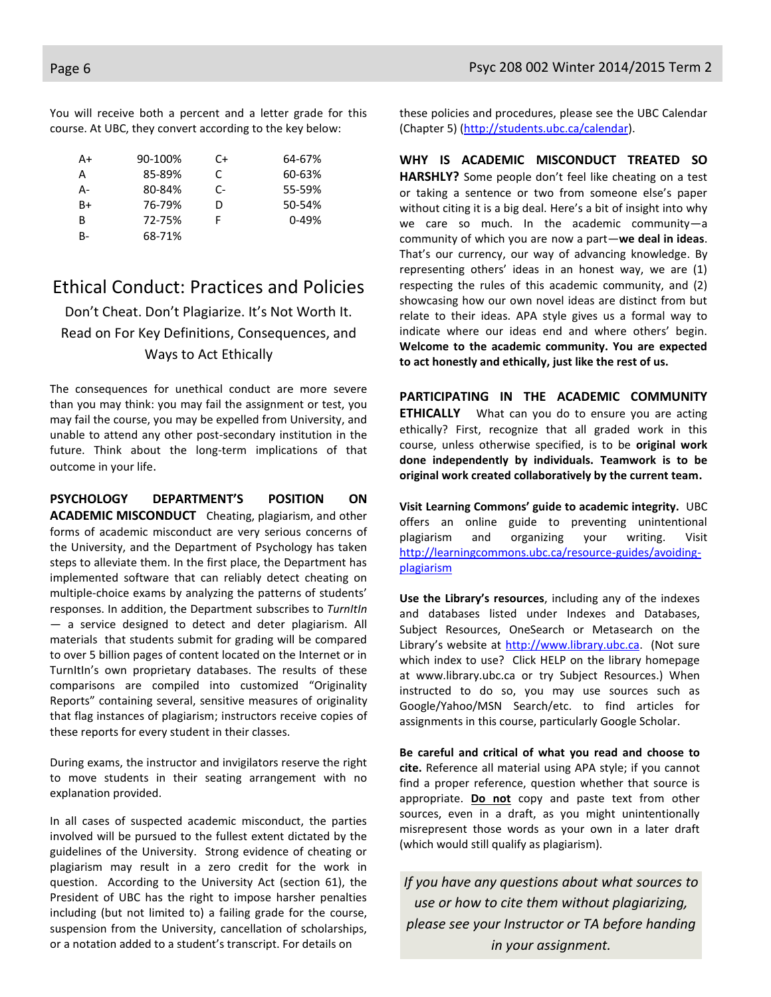You will receive both a percent and a letter grade for this course. At UBC, they convert according to the key below:

| A+ | 90-100% | C+ | 64-67%    |
|----|---------|----|-----------|
| А  | 85-89%  | C. | 60-63%    |
| А- | 80-84%  | C- | 55-59%    |
| B+ | 76-79%  | D  | 50-54%    |
| B  | 72-75%  |    | $0 - 49%$ |
| B- | 68-71%  |    |           |

#### Ethical Conduct: Practices and Policies

Don't Cheat. Don't Plagiarize. It's Not Worth It. Read on For Key Definitions, Consequences, and Ways to Act Ethically

The consequences for unethical conduct are more severe than you may think: you may fail the assignment or test, you may fail the course, you may be expelled from University, and unable to attend any other post-secondary institution in the future. Think about the long-term implications of that outcome in your life.

**PSYCHOLOGY DEPARTMENT'S POSITION ON ACADEMIC MISCONDUCT** Cheating, plagiarism, and other forms of academic misconduct are very serious concerns of the University, and the Department of Psychology has taken steps to alleviate them. In the first place, the Department has implemented software that can reliably detect cheating on multiple-choice exams by analyzing the patterns of students' responses. In addition, the Department subscribes to *TurnItIn*  — a service designed to detect and deter plagiarism. All materials that students submit for grading will be compared to over 5 billion pages of content located on the Internet or in TurnItIn's own proprietary databases. The results of these comparisons are compiled into customized "Originality Reports" containing several, sensitive measures of originality that flag instances of plagiarism; instructors receive copies of these reports for every student in their classes.

During exams, the instructor and invigilators reserve the right to move students in their seating arrangement with no explanation provided.

In all cases of suspected academic misconduct, the parties involved will be pursued to the fullest extent dictated by the guidelines of the University. Strong evidence of cheating or plagiarism may result in a zero credit for the work in question. According to the University Act (section 61), the President of UBC has the right to impose harsher penalties including (but not limited to) a failing grade for the course, suspension from the University, cancellation of scholarships, or a notation added to a student's transcript. For details on

these policies and procedures, please see the UBC Calendar (Chapter 5) [\(http://students.ubc.ca/calendar\)](http://students.ubc.ca/calendar).

**WHY IS ACADEMIC MISCONDUCT TREATED SO HARSHLY?** Some people don't feel like cheating on a test or taking a sentence or two from someone else's paper without citing it is a big deal. Here's a bit of insight into why we care so much. In the academic community—a community of which you are now a part—**we deal in ideas**. That's our currency, our way of advancing knowledge. By representing others' ideas in an honest way, we are (1) respecting the rules of this academic community, and (2) showcasing how our own novel ideas are distinct from but relate to their ideas. APA style gives us a formal way to indicate where our ideas end and where others' begin. **Welcome to the academic community. You are expected to act honestly and ethically, just like the rest of us.**

**PARTICIPATING IN THE ACADEMIC COMMUNITY ETHICALLY** What can you do to ensure you are acting ethically? First, recognize that all graded work in this course, unless otherwise specified, is to be **original work done independently by individuals. Teamwork is to be original work created collaboratively by the current team.**

**Visit Learning Commons' guide to academic integrity.** UBC offers an online guide to preventing unintentional plagiarism and organizing your writing. Visit [http://learningcommons.ubc.ca/resource-guides/avoiding](http://learningcommons.ubc.ca/resource-guides/avoiding-plagiarism)[plagiarism](http://learningcommons.ubc.ca/resource-guides/avoiding-plagiarism)

**Use the Library's resources**, including any of the indexes and databases listed under Indexes and Databases, Subject Resources, OneSearch or Metasearch on the Library's website at [http://www.library.ubc.ca.](http://www.library.ubc.ca/) (Not sure which index to use? Click HELP on the library homepage at www.library.ubc.ca or try Subject Resources.) When instructed to do so, you may use sources such as Google/Yahoo/MSN Search/etc. to find articles for assignments in this course, particularly Google Scholar.

**Be careful and critical of what you read and choose to cite.** Reference all material using APA style; if you cannot find a proper reference, question whether that source is appropriate. **Do not** copy and paste text from other sources, even in a draft, as you might unintentionally misrepresent those words as your own in a later draft (which would still qualify as plagiarism).

*If you have any questions about what sources to use or how to cite them without plagiarizing, please see your Instructor or TA before handing in your assignment.*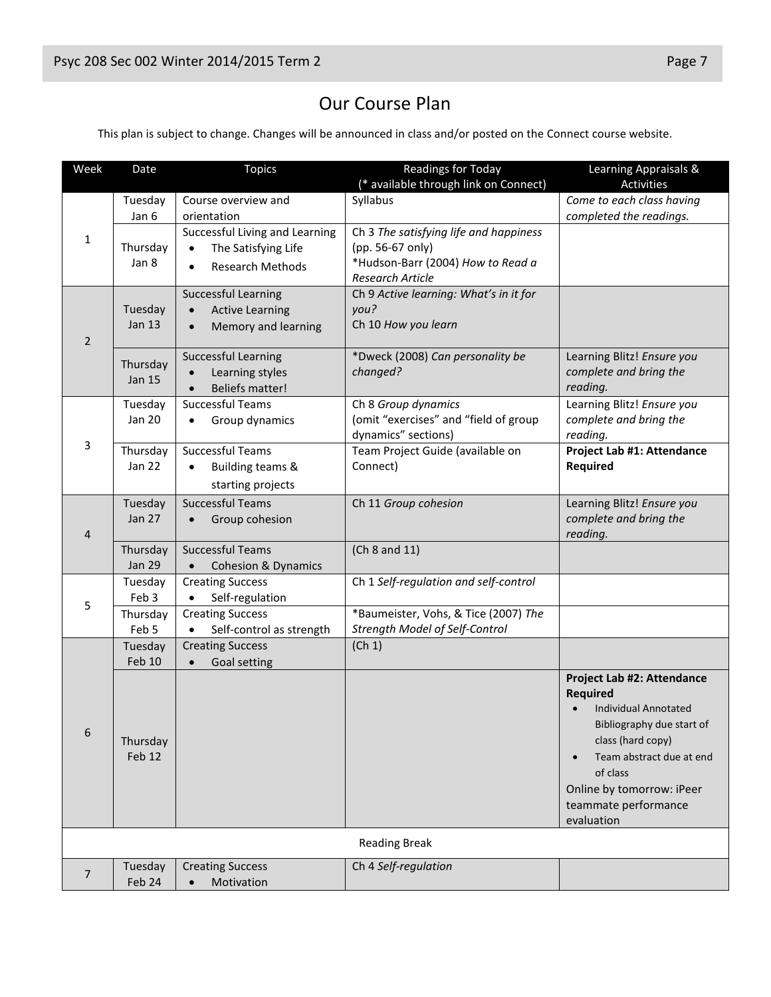# Our Course Plan

This plan is subject to change. Changes will be announced in class and/or posted on the Connect course website.

| Week                 | Date                      | Topics                                                         | <b>Readings for Today</b>                             | Learning Appraisals &                          |
|----------------------|---------------------------|----------------------------------------------------------------|-------------------------------------------------------|------------------------------------------------|
|                      |                           |                                                                | (* available through link on Connect)                 | <b>Activities</b>                              |
| 1                    | Tuesday                   | Course overview and                                            | Syllabus                                              | Come to each class having                      |
|                      | Jan 6                     | orientation                                                    |                                                       | completed the readings.                        |
|                      |                           | Successful Living and Learning                                 | Ch 3 The satisfying life and happiness                |                                                |
|                      | Thursday<br>Jan 8         | The Satisfying Life<br>$\bullet$                               | (pp. 56-67 only)<br>*Hudson-Barr (2004) How to Read a |                                                |
|                      |                           | <b>Research Methods</b><br>$\bullet$                           | <b>Research Article</b>                               |                                                |
|                      |                           | <b>Successful Learning</b>                                     | Ch 9 Active learning: What's in it for                |                                                |
|                      | Tuesday                   | <b>Active Learning</b><br>$\bullet$                            | you?                                                  |                                                |
|                      | Jan $13$                  | Memory and learning<br>$\bullet$                               | Ch 10 How you learn                                   |                                                |
| 2                    |                           |                                                                |                                                       |                                                |
|                      | Thursday                  | <b>Successful Learning</b>                                     | *Dweck (2008) Can personality be                      | Learning Blitz! Ensure you                     |
|                      | <b>Jan 15</b>             | Learning styles<br>$\bullet$                                   | changed?                                              | complete and bring the<br>reading.             |
|                      | Tuesday                   | <b>Beliefs matter!</b><br>$\bullet$<br><b>Successful Teams</b> | Ch 8 Group dynamics                                   | Learning Blitz! Ensure you                     |
|                      | Jan 20                    | Group dynamics<br>$\bullet$                                    | (omit "exercises" and "field of group                 | complete and bring the                         |
|                      |                           |                                                                | dynamics" sections)                                   | reading.                                       |
| 3                    | Thursday                  | <b>Successful Teams</b>                                        | Team Project Guide (available on                      | Project Lab #1: Attendance                     |
|                      | <b>Jan 22</b>             | Building teams &<br>$\bullet$                                  | Connect)                                              | <b>Required</b>                                |
|                      |                           | starting projects                                              |                                                       |                                                |
|                      | Tuesday                   | <b>Successful Teams</b>                                        | Ch 11 Group cohesion                                  | Learning Blitz! Ensure you                     |
|                      | <b>Jan 27</b>             | Group cohesion                                                 |                                                       | complete and bring the                         |
| 4                    |                           |                                                                |                                                       | reading.                                       |
|                      | Thursday<br><b>Jan 29</b> | <b>Successful Teams</b><br><b>Cohesion &amp; Dynamics</b>      | (Ch 8 and 11)                                         |                                                |
|                      | Tuesday                   | <b>Creating Success</b>                                        | Ch 1 Self-regulation and self-control                 |                                                |
|                      | Feb 3                     | Self-regulation                                                |                                                       |                                                |
| 5                    | Thursday                  | <b>Creating Success</b>                                        | *Baumeister, Vohs, & Tice (2007) The                  |                                                |
|                      | Feb 5                     | Self-control as strength<br>$\bullet$                          | Strength Model of Self-Control                        |                                                |
|                      | Tuesday                   | <b>Creating Success</b>                                        | (Ch 1)                                                |                                                |
|                      | Feb 10                    | Goal setting<br>$\bullet$                                      |                                                       |                                                |
|                      |                           |                                                                |                                                       | Project Lab #2: Attendance                     |
| 6                    |                           |                                                                |                                                       | <b>Required</b><br><b>Individual Annotated</b> |
|                      |                           |                                                                |                                                       | Bibliography due start of                      |
|                      | Thursday                  |                                                                |                                                       | class (hard copy)                              |
|                      | Feb 12                    |                                                                |                                                       | Team abstract due at end                       |
|                      |                           |                                                                |                                                       | of class                                       |
|                      |                           |                                                                |                                                       | Online by tomorrow: iPeer                      |
|                      |                           |                                                                |                                                       | teammate performance                           |
|                      |                           |                                                                |                                                       | evaluation                                     |
| <b>Reading Break</b> |                           |                                                                |                                                       |                                                |
| $\overline{7}$       | Tuesday                   | <b>Creating Success</b>                                        | Ch 4 Self-regulation                                  |                                                |
|                      | Feb 24                    | Motivation<br>$\bullet$                                        |                                                       |                                                |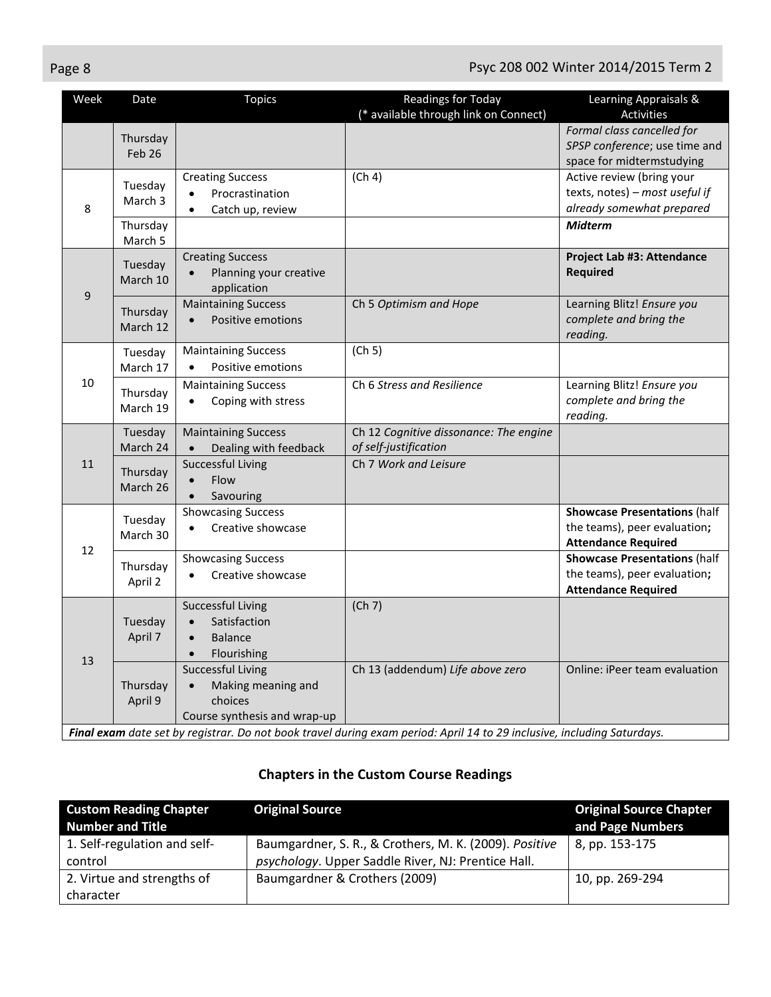| Week | Date                          | <b>Topics</b>                                                                                                                                | <b>Readings for Today</b><br>(* available through link on Connect) | Learning Appraisals &<br><b>Activities</b>                                                        |
|------|-------------------------------|----------------------------------------------------------------------------------------------------------------------------------------------|--------------------------------------------------------------------|---------------------------------------------------------------------------------------------------|
|      | Thursday<br>Feb <sub>26</sub> |                                                                                                                                              |                                                                    | Formal class cancelled for<br>SPSP conference; use time and<br>space for midtermstudying          |
| 8    | Tuesday<br>March 3            | <b>Creating Success</b><br>Procrastination<br>$\bullet$<br>Catch up, review<br>$\bullet$                                                     | (Ch 4)                                                             | Active review (bring your<br>texts, notes) - most useful if<br>already somewhat prepared          |
|      | Thursday<br>March 5           |                                                                                                                                              |                                                                    | <b>Midterm</b>                                                                                    |
| 9    | Tuesday<br>March 10           | <b>Creating Success</b><br>Planning your creative<br>application                                                                             |                                                                    | Project Lab #3: Attendance<br><b>Required</b>                                                     |
|      | Thursday<br>March 12          | <b>Maintaining Success</b><br>Positive emotions<br>$\bullet$                                                                                 | Ch 5 Optimism and Hope                                             | Learning Blitz! Ensure you<br>complete and bring the<br>reading.                                  |
| 10   | Tuesday<br>March 17           | <b>Maintaining Success</b><br>Positive emotions<br>$\bullet$                                                                                 | (Ch 5)                                                             |                                                                                                   |
|      | Thursday<br>March 19          | <b>Maintaining Success</b><br>Coping with stress<br>$\bullet$                                                                                | Ch 6 Stress and Resilience                                         | Learning Blitz! Ensure you<br>complete and bring the<br>reading.                                  |
|      | Tuesday<br>March 24           | <b>Maintaining Success</b><br>Dealing with feedback                                                                                          | Ch 12 Cognitive dissonance: The engine<br>of self-justification    |                                                                                                   |
| 11   | Thursday<br>March 26          | <b>Successful Living</b><br>Flow<br>$\bullet$<br>Savouring                                                                                   | Ch 7 Work and Leisure                                              |                                                                                                   |
| 12   | Tuesday<br>March 30           | <b>Showcasing Success</b><br>Creative showcase<br>$\bullet$                                                                                  |                                                                    | <b>Showcase Presentations (half</b><br>the teams), peer evaluation;<br><b>Attendance Required</b> |
|      | Thursday<br>April 2           | <b>Showcasing Success</b><br>Creative showcase                                                                                               |                                                                    | <b>Showcase Presentations (half</b><br>the teams), peer evaluation;<br><b>Attendance Required</b> |
| 13   | Tuesday<br>April 7            | <b>Successful Living</b><br>Satisfaction<br>$\bullet$<br><b>Balance</b><br>$\bullet$<br>Flourishing                                          | (Ch 7)                                                             |                                                                                                   |
|      | Thursday<br>April 9           | <b>Successful Living</b><br>Making meaning and<br>$\bullet$<br>choices<br>Course synthesis and wrap-up<br>$\sim$ $\sim$ $\sim$ $\sim$ $\sim$ | Ch 13 (addendum) Life above zero                                   | Online: iPeer team evaluation                                                                     |

*Final exam date set by registrar. Do not book travel during exam period: April 14 to 29 inclusive, including Saturdays.*

#### **Chapters in the Custom Course Readings**

| <b>Custom Reading Chapter</b><br><b>Number and Title</b> | <b>Original Source</b>                                                                                       | <b>Original Source Chapter</b><br>and Page Numbers |
|----------------------------------------------------------|--------------------------------------------------------------------------------------------------------------|----------------------------------------------------|
| 1. Self-regulation and self-<br>control                  | Baumgardner, S. R., & Crothers, M. K. (2009). Positive<br>psychology. Upper Saddle River, NJ: Prentice Hall. | $8$ , pp. 153-175                                  |
| 2. Virtue and strengths of<br>character                  | Baumgardner & Crothers (2009)                                                                                | 10, pp. 269-294                                    |